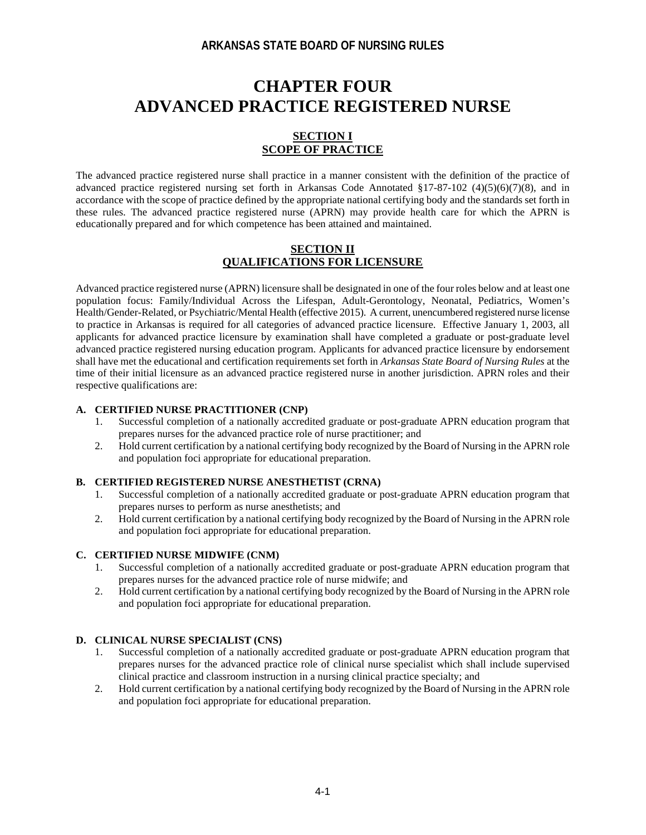# **CHAPTER FOUR ADVANCED PRACTICE REGISTERED NURSE**

## **SECTION I SCOPE OF PRACTICE**

The advanced practice registered nurse shall practice in a manner consistent with the definition of the practice of advanced practice registered nursing set forth in Arkansas Code Annotated §17-87-102 (4)(5)(6)(7)(8), and in accordance with the scope of practice defined by the appropriate national certifying body and the standards set forth in these rules. The advanced practice registered nurse (APRN) may provide health care for which the APRN is educationally prepared and for which competence has been attained and maintained.

#### **SECTION II QUALIFICATIONS FOR LICENSURE**

Advanced practice registered nurse (APRN) licensure shall be designated in one of the four roles below and at least one population focus: Family/Individual Across the Lifespan, Adult-Gerontology, Neonatal, Pediatrics, Women's Health/Gender-Related, or Psychiatric/Mental Health (effective 2015). A current, unencumbered registered nurse license to practice in Arkansas is required for all categories of advanced practice licensure. Effective January 1, 2003, all applicants for advanced practice licensure by examination shall have completed a graduate or post-graduate level advanced practice registered nursing education program. Applicants for advanced practice licensure by endorsement shall have met the educational and certification requirements set forth in *Arkansas State Board of Nursing Rules* at the time of their initial licensure as an advanced practice registered nurse in another jurisdiction. APRN roles and their respective qualifications are:

#### **A. CERTIFIED NURSE PRACTITIONER (CNP)**

- 1. Successful completion of a nationally accredited graduate or post-graduate APRN education program that prepares nurses for the advanced practice role of nurse practitioner; and
- 2. Hold current certification by a national certifying body recognized by the Board of Nursing in the APRN role and population foci appropriate for educational preparation.

#### **B. CERTIFIED REGISTERED NURSE ANESTHETIST (CRNA)**

- 1. Successful completion of a nationally accredited graduate or post-graduate APRN education program that prepares nurses to perform as nurse anesthetists; and
- 2. Hold current certification by a national certifying body recognized by the Board of Nursing in the APRN role and population foci appropriate for educational preparation.

#### **C. CERTIFIED NURSE MIDWIFE (CNM)**

- 1. Successful completion of a nationally accredited graduate or post-graduate APRN education program that prepares nurses for the advanced practice role of nurse midwife; and
- 2. Hold current certification by a national certifying body recognized by the Board of Nursing in the APRN role and population foci appropriate for educational preparation.

### **D. CLINICAL NURSE SPECIALIST (CNS)**

- 1. Successful completion of a nationally accredited graduate or post-graduate APRN education program that prepares nurses for the advanced practice role of clinical nurse specialist which shall include supervised clinical practice and classroom instruction in a nursing clinical practice specialty; and
- 2. Hold current certification by a national certifying body recognized by the Board of Nursing in the APRN role and population foci appropriate for educational preparation.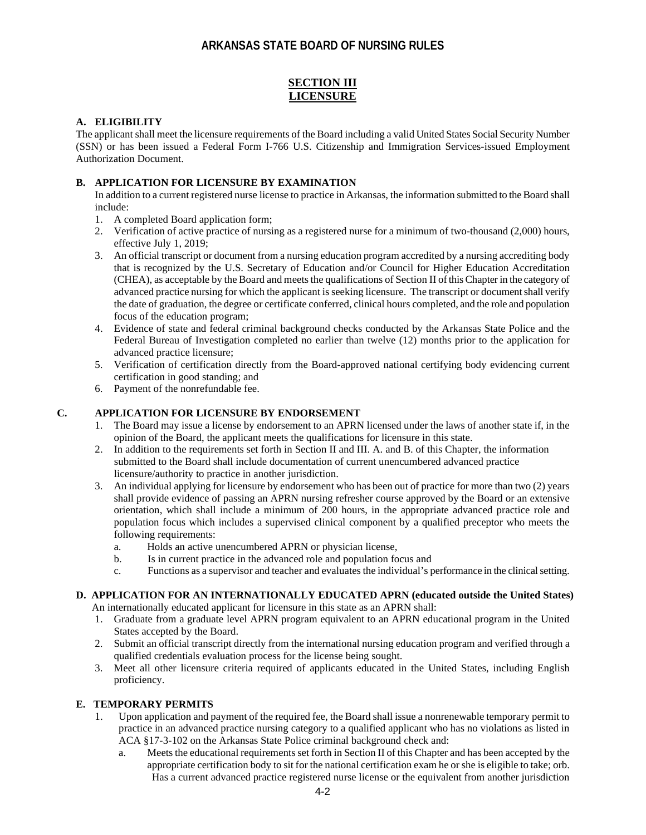## **SECTION III LICENSURE**

#### **A. ELIGIBILITY**

The applicant shall meet the licensure requirements of the Board including a valid United States Social Security Number (SSN) or has been issued a Federal Form I-766 U.S. Citizenship and Immigration Services-issued Employment Authorization Document.

#### **B. APPLICATION FOR LICENSURE BY EXAMINATION**

In addition to a current registered nurse license to practice in Arkansas, the information submitted to the Board shall include:

- 1. A completed Board application form;
- 2. Verification of active practice of nursing as a registered nurse for a minimum of two-thousand (2,000) hours, effective July 1, 2019;
- 3. An official transcript or document from a nursing education program accredited by a nursing accrediting body that is recognized by the U.S. Secretary of Education and/or Council for Higher Education Accreditation (CHEA), as acceptable by the Board and meets the qualifications of Section II of this Chapter in the category of advanced practice nursing for which the applicant is seeking licensure. The transcript or document shall verify the date of graduation, the degree or certificate conferred, clinical hours completed, and the role and population focus of the education program;
- 4. Evidence of state and federal criminal background checks conducted by the Arkansas State Police and the Federal Bureau of Investigation completed no earlier than twelve (12) months prior to the application for advanced practice licensure;
- 5. Verification of certification directly from the Board-approved national certifying body evidencing current certification in good standing; and
- 6. Payment of the nonrefundable fee.

#### **C. APPLICATION FOR LICENSURE BY ENDORSEMENT**

- 1. The Board may issue a license by endorsement to an APRN licensed under the laws of another state if, in the opinion of the Board, the applicant meets the qualifications for licensure in this state.
- 2. In addition to the requirements set forth in Section II and III. A. and B. of this Chapter, the information submitted to the Board shall include documentation of current unencumbered advanced practice licensure/authority to practice in another jurisdiction.
- 3. An individual applying for licensure by endorsement who has been out of practice for more than two (2) years shall provide evidence of passing an APRN nursing refresher course approved by the Board or an extensive orientation, which shall include a minimum of 200 hours, in the appropriate advanced practice role and population focus which includes a supervised clinical component by a qualified preceptor who meets the following requirements:
	- a. Holds an active unencumbered APRN or physician license,
	- b. Is in current practice in the advanced role and population focus and
	- c. Functions as a supervisor and teacher and evaluates the individual's performance in the clinical setting.

#### **D. APPLICATION FOR AN INTERNATIONALLY EDUCATED APRN (educated outside the United States)** An internationally educated applicant for licensure in this state as an APRN shall:

- 1. Graduate from a graduate level APRN program equivalent to an APRN educational program in the United States accepted by the Board.
- 2. Submit an official transcript directly from the international nursing education program and verified through a qualified credentials evaluation process for the license being sought.
- 3. Meet all other licensure criteria required of applicants educated in the United States, including English proficiency.

### **E. TEMPORARY PERMITS**

- 1. Upon application and payment of the required fee, the Board shall issue a nonrenewable temporary permit to practice in an advanced practice nursing category to a qualified applicant who has no violations as listed in ACA §17-3-102 on the Arkansas State Police criminal background check and:
	- a. Meets the educational requirements set forth in Section II of this Chapter and has been accepted by the appropriate certification body to sit for the national certification exam he or she is eligible to take; orb. Has a current advanced practice registered nurse license or the equivalent from another jurisdiction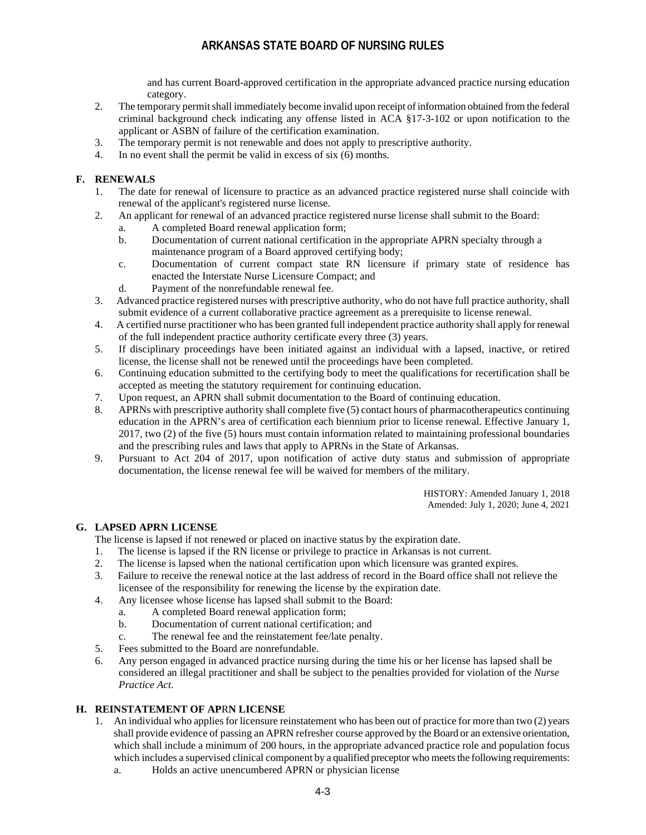and has current Board-approved certification in the appropriate advanced practice nursing education category.

- 2. The temporary permit shall immediately become invalid upon receipt of information obtained from the federal criminal background check indicating any offense listed in ACA §17-3-102 or upon notification to the applicant or ASBN of failure of the certification examination.
- 3. The temporary permit is not renewable and does not apply to prescriptive authority.
- 4. In no event shall the permit be valid in excess of six (6) months.

#### **F. RENEWALS**

- 1. The date for renewal of licensure to practice as an advanced practice registered nurse shall coincide with renewal of the applicant's registered nurse license.
- 2. An applicant for renewal of an advanced practice registered nurse license shall submit to the Board:
	- a. A completed Board renewal application form;
	- b. Documentation of current national certification in the appropriate APRN specialty through a maintenance program of a Board approved certifying body;
	- c. Documentation of current compact state RN licensure if primary state of residence has enacted the Interstate Nurse Licensure Compact; and
	- d. Payment of the nonrefundable renewal fee.
- 3. Advanced practice registered nurses with prescriptive authority, who do not have full practice authority, shall submit evidence of a current collaborative practice agreement as a prerequisite to license renewal.
- 4. A certified nurse practitioner who has been granted full independent practice authority shall apply for renewal of the full independent practice authority certificate every three (3) years.
- 5. If disciplinary proceedings have been initiated against an individual with a lapsed, inactive, or retired license, the license shall not be renewed until the proceedings have been completed.
- 6. Continuing education submitted to the certifying body to meet the qualifications for recertification shall be accepted as meeting the statutory requirement for continuing education.
- 7. Upon request, an APRN shall submit documentation to the Board of continuing education.
- 8. APRNs with prescriptive authority shall complete five (5) contact hours of pharmacotherapeutics continuing education in the APRN's area of certification each biennium prior to license renewal. Effective January 1, 2017, two (2) of the five (5) hours must contain information related to maintaining professional boundaries and the prescribing rules and laws that apply to APRNs in the State of Arkansas.
- 9. Pursuant to Act 204 of 2017, upon notification of active duty status and submission of appropriate documentation, the license renewal fee will be waived for members of the military.

HISTORY: Amended January 1, 2018 Amended: July 1, 2020; June 4, 2021

#### **G. LAPSED APRN LICENSE**

The license is lapsed if not renewed or placed on inactive status by the expiration date.

- 1. The license is lapsed if the RN license or privilege to practice in Arkansas is not current.
- 2. The license is lapsed when the national certification upon which licensure was granted expires.
- 3. Failure to receive the renewal notice at the last address of record in the Board office shall not relieve the licensee of the responsibility for renewing the license by the expiration date.
- 4. Any licensee whose license has lapsed shall submit to the Board:
	- a. A completed Board renewal application form;
	- b. Documentation of current national certification; and
	- c. The renewal fee and the reinstatement fee/late penalty.
- 5. Fees submitted to the Board are nonrefundable.
- 6. Any person engaged in advanced practice nursing during the time his or her license has lapsed shall be considered an illegal practitioner and shall be subject to the penalties provided for violation of the *Nurse Practice Act.*

#### **H. REINSTATEMENT OF AP**R**N LICENSE**

- 1. An individual who applies for licensure reinstatement who has been out of practice for more than two (2) years shall provide evidence of passing an APRN refresher course approved by the Board or an extensive orientation, which shall include a minimum of 200 hours, in the appropriate advanced practice role and population focus which includes a supervised clinical component by a qualified preceptor who meets the following requirements:
	- a. Holds an active unencumbered APRN or physician license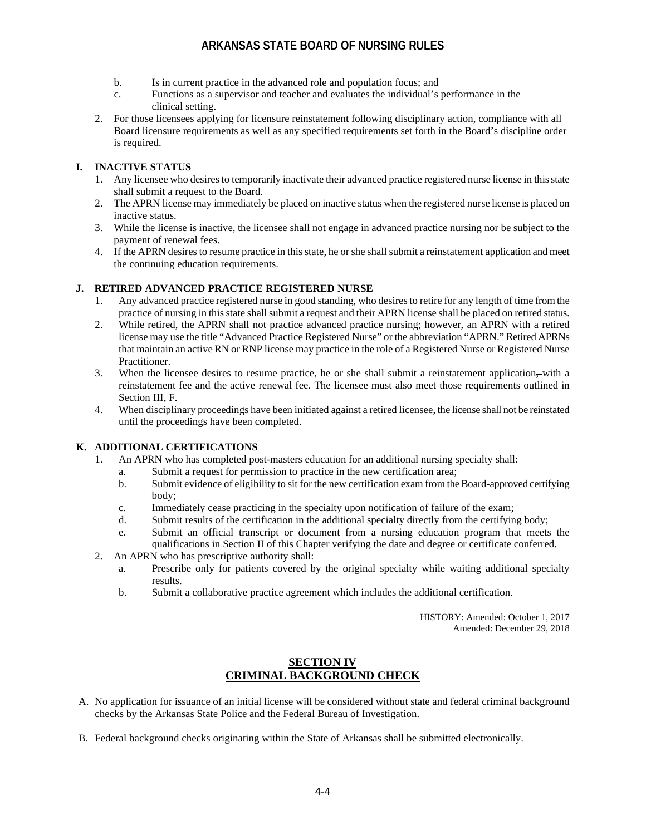- b. Is in current practice in the advanced role and population focus; and
- c. Functions as a supervisor and teacher and evaluates the individual's performance in the clinical setting.
- 2. For those licensees applying for licensure reinstatement following disciplinary action, compliance with all Board licensure requirements as well as any specified requirements set forth in the Board's discipline order is required.

### **I. INACTIVE STATUS**

- 1. Any licensee who desires to temporarily inactivate their advanced practice registered nurse license in this state shall submit a request to the Board.
- 2. The APRN license may immediately be placed on inactive status when the registered nurse license is placed on inactive status.
- 3. While the license is inactive, the licensee shall not engage in advanced practice nursing nor be subject to the payment of renewal fees.
- 4. If the APRN desires to resume practice in this state, he or she shall submit a reinstatement application and meet the continuing education requirements.

### **J. RETIRED ADVANCED PRACTICE REGISTERED NURSE**

- 1. Any advanced practice registered nurse in good standing, who desiresto retire for any length of time from the practice of nursing in this state shall submit a request and their APRN license shall be placed on retired status.
- 2. While retired, the APRN shall not practice advanced practice nursing; however, an APRN with a retired license may use the title "Advanced Practice Registered Nurse" or the abbreviation "APRN." Retired APRNs that maintain an active RN or RNP license may practice in the role of a Registered Nurse or Registered Nurse Practitioner.
- 3. When the licensee desires to resume practice, he or she shall submit a reinstatement application, with a reinstatement fee and the active renewal fee. The licensee must also meet those requirements outlined in Section III, F.
- 4. When disciplinary proceedings have been initiated against a retired licensee, the license shall not be reinstated until the proceedings have been completed.

### **K. ADDITIONAL CERTIFICATIONS**

- 1. An APRN who has completed post-masters education for an additional nursing specialty shall:
	- a. Submit a request for permission to practice in the new certification area;
	- b. Submit evidence of eligibility to sit for the new certification exam from the Board-approved certifying body;
	- c. Immediately cease practicing in the specialty upon notification of failure of the exam;
	- d. Submit results of the certification in the additional specialty directly from the certifying body;
	- e. Submit an official transcript or document from a nursing education program that meets the qualifications in Section II of this Chapter verifying the date and degree or certificate conferred.
- 2. An APRN who has prescriptive authority shall:
	- a. Prescribe only for patients covered by the original specialty while waiting additional specialty results.
	- b. Submit a collaborative practice agreement which includes the additional certification.

HISTORY: Amended: October 1, 2017 Amended: December 29, 2018

## **SECTION IV CRIMINAL BACKGROUND CHECK**

- A. No application for issuance of an initial license will be considered without state and federal criminal background checks by the Arkansas State Police and the Federal Bureau of Investigation.
- B. Federal background checks originating within the State of Arkansas shall be submitted electronically.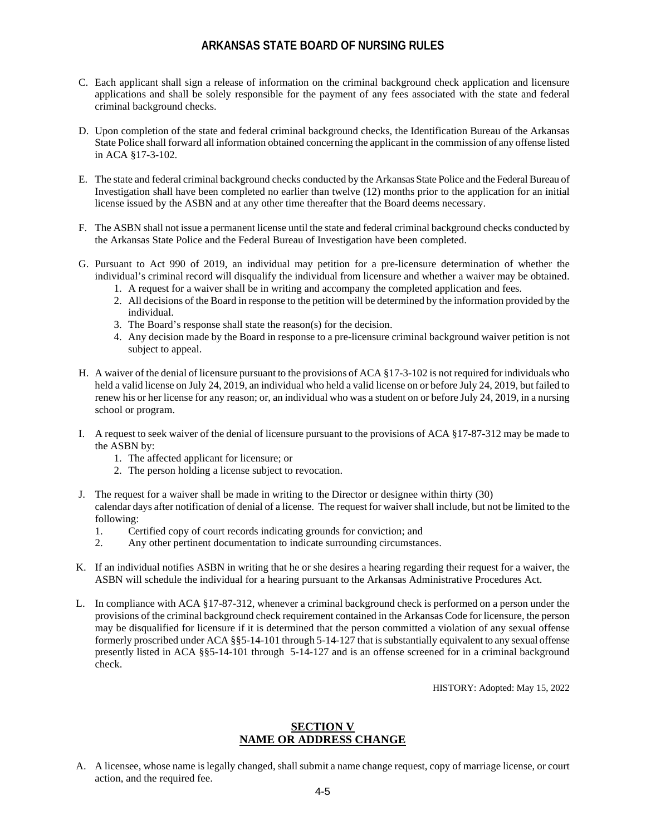- C. Each applicant shall sign a release of information on the criminal background check application and licensure applications and shall be solely responsible for the payment of any fees associated with the state and federal criminal background checks.
- D. Upon completion of the state and federal criminal background checks, the Identification Bureau of the Arkansas State Police shall forward all information obtained concerning the applicant in the commission of any offense listed in ACA §17-3-102.
- E. The state and federal criminal background checks conducted by the Arkansas State Police and the Federal Bureau of Investigation shall have been completed no earlier than twelve (12) months prior to the application for an initial license issued by the ASBN and at any other time thereafter that the Board deems necessary.
- F. The ASBN shall not issue a permanent license until the state and federal criminal background checks conducted by the Arkansas State Police and the Federal Bureau of Investigation have been completed.
- G. Pursuant to Act 990 of 2019, an individual may petition for a pre-licensure determination of whether the individual's criminal record will disqualify the individual from licensure and whether a waiver may be obtained.
	- 1. A request for a waiver shall be in writing and accompany the completed application and fees.
	- 2. All decisions of the Board in response to the petition will be determined by the information provided by the individual.
	- 3. The Board's response shall state the reason(s) for the decision.
	- 4. Any decision made by the Board in response to a pre-licensure criminal background waiver petition is not subject to appeal.
- H. A waiver of the denial of licensure pursuant to the provisions of ACA §17-3-102 is not required for individuals who held a valid license on July 24, 2019, an individual who held a valid license on or before July 24, 2019, but failed to renew his or her license for any reason; or, an individual who was a student on or before July 24, 2019, in a nursing school or program.
- I. A request to seek waiver of the denial of licensure pursuant to the provisions of ACA §17-87-312 may be made to the ASBN by:
	- 1. The affected applicant for licensure; or
	- 2. The person holding a license subject to revocation.
- J. The request for a waiver shall be made in writing to the Director or designee within thirty (30) calendar days after notification of denial of a license. The request for waiver shall include, but not be limited to the following:
	- 1. Certified copy of court records indicating grounds for conviction; and
	- 2. Any other pertinent documentation to indicate surrounding circumstances.
- K. If an individual notifies ASBN in writing that he or she desires a hearing regarding their request for a waiver, the ASBN will schedule the individual for a hearing pursuant to the Arkansas Administrative Procedures Act.
- L. In compliance with ACA §17-87-312, whenever a criminal background check is performed on a person under the provisions of the criminal background check requirement contained in the Arkansas Code for licensure, the person may be disqualified for licensure if it is determined that the person committed a violation of any sexual offense formerly proscribed under ACA §§5-14-101 through 5-14-127 that is substantially equivalent to any sexual offense presently listed in ACA §§5-14-101 through 5-14-127 and is an offense screened for in a criminal background check.

HISTORY: Adopted: May 15, 2022

### **SECTION V NAME OR ADDRESS CHANGE**

A. A licensee, whose name is legally changed, shall submit a name change request, copy of marriage license, or court action, and the required fee.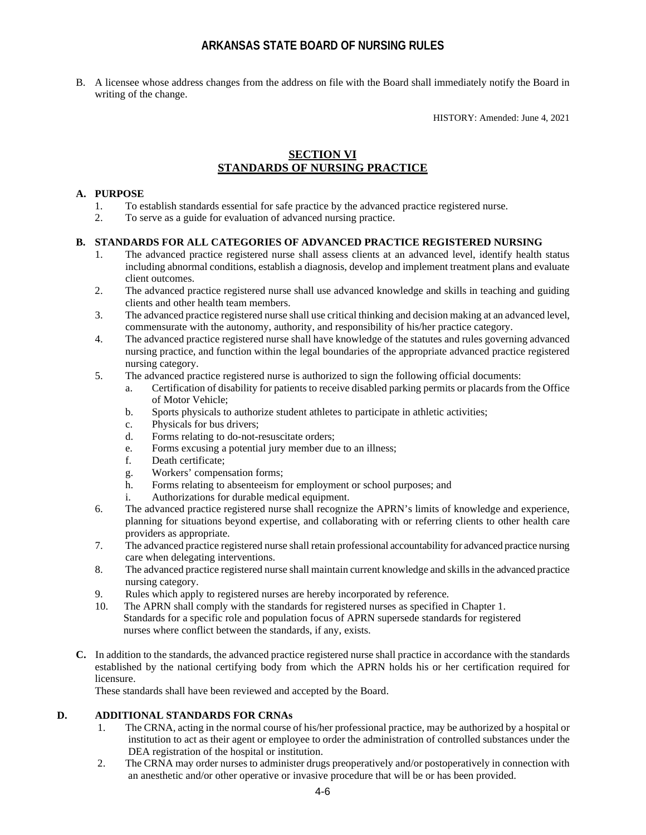B. A licensee whose address changes from the address on file with the Board shall immediately notify the Board in writing of the change.

HISTORY: Amended: June 4, 2021

## **SECTION VI STANDARDS OF NURSING PRACTICE**

#### **A. PURPOSE**

- 1. To establish standards essential for safe practice by the advanced practice registered nurse.
- 2. To serve as a guide for evaluation of advanced nursing practice.

#### **B. STANDARDS FOR ALL CATEGORIES OF ADVANCED PRACTICE REGISTERED NURSING**

- 1. The advanced practice registered nurse shall assess clients at an advanced level, identify health status including abnormal conditions, establish a diagnosis, develop and implement treatment plans and evaluate client outcomes.
- 2. The advanced practice registered nurse shall use advanced knowledge and skills in teaching and guiding clients and other health team members.
- 3. The advanced practice registered nurse shall use critical thinking and decision making at an advanced level, commensurate with the autonomy, authority, and responsibility of his/her practice category.
- 4. The advanced practice registered nurse shall have knowledge of the statutes and rules governing advanced nursing practice, and function within the legal boundaries of the appropriate advanced practice registered nursing category.
- 5. The advanced practice registered nurse is authorized to sign the following official documents:
	- a. Certification of disability for patients to receive disabled parking permits or placards from the Office of Motor Vehicle;
	- b. Sports physicals to authorize student athletes to participate in athletic activities;
	- c. Physicals for bus drivers;
	- d. Forms relating to do-not-resuscitate orders;
	- e. Forms excusing a potential jury member due to an illness;
	- f. Death certificate;
	- g. Workers' compensation forms;
	- h. Forms relating to absenteeism for employment or school purposes; and
	- i. Authorizations for durable medical equipment.
- 6. The advanced practice registered nurse shall recognize the APRN's limits of knowledge and experience, planning for situations beyond expertise, and collaborating with or referring clients to other health care providers as appropriate.
- 7. The advanced practice registered nurse shall retain professional accountability for advanced practice nursing care when delegating interventions.
- 8. The advanced practice registered nurse shall maintain current knowledge and skills in the advanced practice nursing category.
- 9. Rules which apply to registered nurses are hereby incorporated by reference.
- 10. The APRN shall comply with the standards for registered nurses as specified in Chapter 1. Standards for a specific role and population focus of APRN supersede standards for registered nurses where conflict between the standards, if any, exists.
- **C.** In addition to the standards, the advanced practice registered nurse shall practice in accordance with the standards established by the national certifying body from which the APRN holds his or her certification required for licensure.

These standards shall have been reviewed and accepted by the Board.

### **D. ADDITIONAL STANDARDS FOR CRNAs**

- 1. The CRNA, acting in the normal course of his/her professional practice, may be authorized by a hospital or institution to act as their agent or employee to order the administration of controlled substances under the DEA registration of the hospital or institution.
- 2. The CRNA may order nurses to administer drugs preoperatively and/or postoperatively in connection with an anesthetic and/or other operative or invasive procedure that will be or has been provided.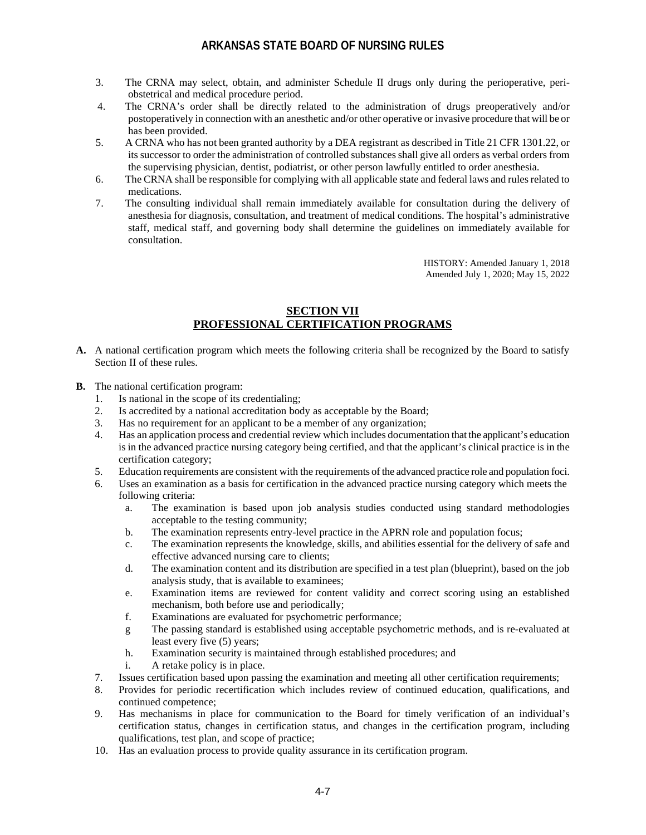- 3. The CRNA may select, obtain, and administer Schedule II drugs only during the perioperative, periobstetrical and medical procedure period.
- 4. The CRNA's order shall be directly related to the administration of drugs preoperatively and/or postoperatively in connection with an anesthetic and/or other operative or invasive procedure that will be or has been provided.
- 5. A CRNA who has not been granted authority by a DEA registrant as described in Title 21 CFR 1301.22, or its successor to order the administration of controlled substances shall give all orders as verbal orders from the supervising physician, dentist, podiatrist, or other person lawfully entitled to order anesthesia.
- 6. The CRNA shall be responsible for complying with all applicable state and federal laws and rules related to medications.
- 7. The consulting individual shall remain immediately available for consultation during the delivery of anesthesia for diagnosis, consultation, and treatment of medical conditions. The hospital's administrative staff, medical staff, and governing body shall determine the guidelines on immediately available for consultation.

HISTORY: Amended January 1, 2018 Amended July 1, 2020; May 15, 2022

## **SECTION VII PROFESSIONAL CERTIFICATION PROGRAMS**

- **A.** A national certification program which meets the following criteria shall be recognized by the Board to satisfy Section II of these rules.
- **B.** The national certification program:
	- 1. Is national in the scope of its credentialing;
	- 2. Is accredited by a national accreditation body as acceptable by the Board;<br>3. Has no requirement for an applicant to be a member of any organization:
	- Has no requirement for an applicant to be a member of any organization;
	- 4. Has an application process and credential review which includes documentation that the applicant's education is in the advanced practice nursing category being certified, and that the applicant's clinical practice is in the certification category;
	- 5. Education requirements are consistent with the requirements of the advanced practice role and population foci.
	- 6. Uses an examination as a basis for certification in the advanced practice nursing category which meets the following criteria:
		- a. The examination is based upon job analysis studies conducted using standard methodologies acceptable to the testing community;
		- b. The examination represents entry-level practice in the APRN role and population focus;
		- c. The examination represents the knowledge, skills, and abilities essential for the delivery of safe and effective advanced nursing care to clients;
		- d. The examination content and its distribution are specified in a test plan (blueprint), based on the job analysis study, that is available to examinees;
		- e. Examination items are reviewed for content validity and correct scoring using an established mechanism, both before use and periodically;
		- f. Examinations are evaluated for psychometric performance;
		- g The passing standard is established using acceptable psychometric methods, and is re-evaluated at least every five (5) years;
		- h. Examination security is maintained through established procedures; and
		- i. A retake policy is in place.
	- 7. Issues certification based upon passing the examination and meeting all other certification requirements;
	- 8. Provides for periodic recertification which includes review of continued education, qualifications, and continued competence;
	- 9. Has mechanisms in place for communication to the Board for timely verification of an individual's certification status, changes in certification status, and changes in the certification program, including qualifications, test plan, and scope of practice;
	- 10. Has an evaluation process to provide quality assurance in its certification program.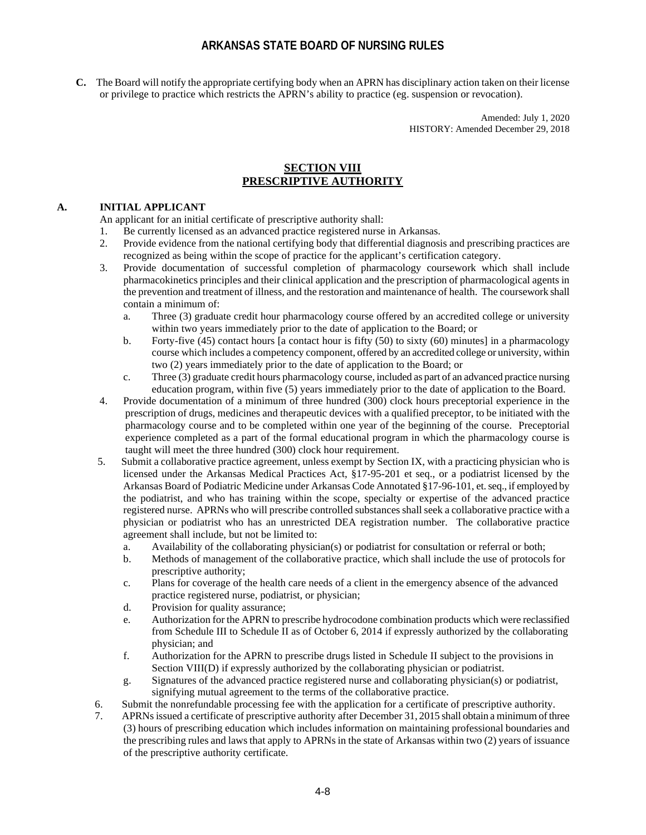**C.** The Board will notify the appropriate certifying body when an APRN has disciplinary action taken on their license or privilege to practice which restricts the APRN's ability to practice (eg. suspension or revocation).

> Amended: July 1, 2020 HISTORY: Amended December 29, 2018

### **SECTION VIII PRESCRIPTIVE AUTHORITY**

#### **A. INITIAL APPLICANT**

An applicant for an initial certificate of prescriptive authority shall:

- 1. Be currently licensed as an advanced practice registered nurse in Arkansas.
- 2. Provide evidence from the national certifying body that differential diagnosis and prescribing practices are recognized as being within the scope of practice for the applicant's certification category.
- 3. Provide documentation of successful completion of pharmacology coursework which shall include pharmacokinetics principles and their clinical application and the prescription of pharmacological agents in the prevention and treatment of illness, and the restoration and maintenance of health. The coursework shall contain a minimum of:
	- a. Three (3) graduate credit hour pharmacology course offered by an accredited college or university within two years immediately prior to the date of application to the Board; or
	- b. Forty-five (45) contact hours [a contact hour is fifty (50) to sixty (60) minutes] in a pharmacology course which includes a competency component, offered by an accredited college or university, within two (2) years immediately prior to the date of application to the Board; or
	- c. Three (3) graduate credit hours pharmacology course, included as part of an advanced practice nursing education program, within five (5) years immediately prior to the date of application to the Board.
- 4. Provide documentation of a minimum of three hundred (300) clock hours preceptorial experience in the prescription of drugs, medicines and therapeutic devices with a qualified preceptor, to be initiated with the pharmacology course and to be completed within one year of the beginning of the course. Preceptorial experience completed as a part of the formal educational program in which the pharmacology course is taught will meet the three hundred (300) clock hour requirement.
- 5. Submit a collaborative practice agreement, unless exempt by Section IX, with a practicing physician who is licensed under the Arkansas Medical Practices Act, §17-95-201 et seq., or a podiatrist licensed by the Arkansas Board of Podiatric Medicine under Arkansas Code Annotated §17-96-101, et. seq., if employed by the podiatrist, and who has training within the scope, specialty or expertise of the advanced practice registered nurse. APRNs who will prescribe controlled substances shall seek a collaborative practice with a physician or podiatrist who has an unrestricted DEA registration number. The collaborative practice agreement shall include, but not be limited to:
	- a. Availability of the collaborating physician(s) or podiatrist for consultation or referral or both;
	- b. Methods of management of the collaborative practice, which shall include the use of protocols for prescriptive authority;
	- c. Plans for coverage of the health care needs of a client in the emergency absence of the advanced practice registered nurse, podiatrist, or physician;
	- d. Provision for quality assurance;
	- e. Authorization for the APRN to prescribe hydrocodone combination products which were reclassified from Schedule III to Schedule II as of October 6, 2014 if expressly authorized by the collaborating physician; and
	- f. Authorization for the APRN to prescribe drugs listed in Schedule II subject to the provisions in Section VIII(D) if expressly authorized by the collaborating physician or podiatrist.
	- g. Signatures of the advanced practice registered nurse and collaborating physician(s) or podiatrist, signifying mutual agreement to the terms of the collaborative practice.
- 6. Submit the nonrefundable processing fee with the application for a certificate of prescriptive authority.
- 7. APRNs issued a certificate of prescriptive authority after December 31, 2015 shall obtain a minimum of three (3) hours of prescribing education which includes information on maintaining professional boundaries and the prescribing rules and laws that apply to APRNs in the state of Arkansas within two (2) years of issuance of the prescriptive authority certificate.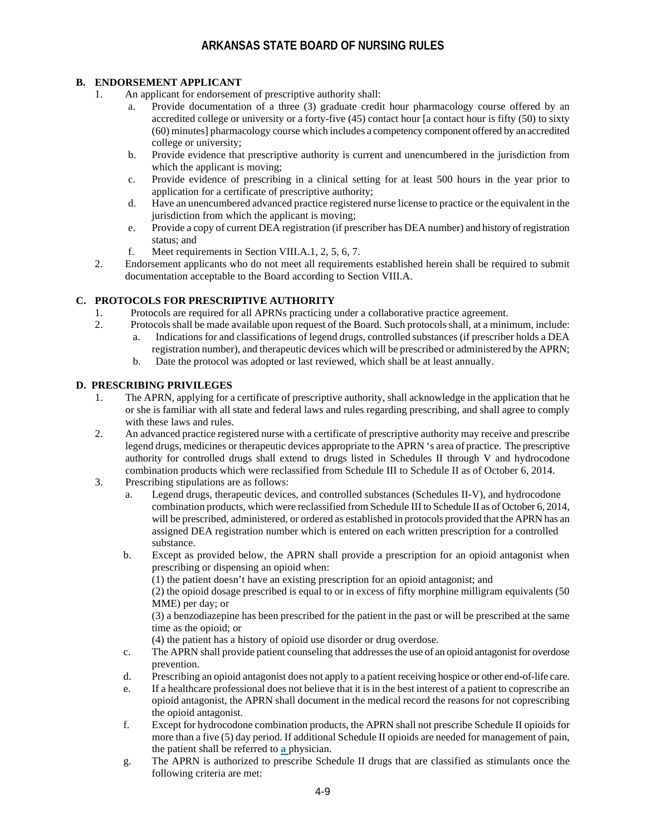#### **B. ENDORSEMENT APPLICANT**

- 1. An applicant for endorsement of prescriptive authority shall:
	- a. Provide documentation of a three (3) graduate credit hour pharmacology course offered by an accredited college or university or a forty-five (45) contact hour [a contact hour is fifty (50) to sixty (60) minutes] pharmacology course which includes a competency component offered by an accredited college or university;
	- b. Provide evidence that prescriptive authority is current and unencumbered in the jurisdiction from which the applicant is moving;
	- c. Provide evidence of prescribing in a clinical setting for at least 500 hours in the year prior to application for a certificate of prescriptive authority;
	- d. Have an unencumbered advanced practice registered nurse license to practice or the equivalent in the jurisdiction from which the applicant is moving;
	- e. Provide a copy of current DEA registration (if prescriber has DEA number) and history of registration status; and
	- f. Meet requirements in Section VIII.A.1, 2, 5, 6, 7.
- 2. Endorsement applicants who do not meet all requirements established herein shall be required to submit documentation acceptable to the Board according to Section VIII.A.

#### **C. PROTOCOLS FOR PRESCRIPTIVE AUTHORITY**

- 1. Protocols are required for all APRNs practicing under a collaborative practice agreement.
- 2. Protocols shall be made available upon request of the Board. Such protocols shall, at a minimum, include: a. Indications for and classifications of legend drugs, controlled substances (if prescriber holds a DEA
	- registration number), and therapeutic devices which will be prescribed or administered by the APRN; b. Date the protocol was adopted or last reviewed, which shall be at least annually.

#### **D. PRESCRIBING PRIVILEGES**

- 1. The APRN, applying for a certificate of prescriptive authority, shall acknowledge in the application that he or she is familiar with all state and federal laws and rules regarding prescribing, and shall agree to comply with these laws and rules.
- 2. An advanced practice registered nurse with a certificate of prescriptive authority may receive and prescribe legend drugs, medicines or therapeutic devices appropriate to the APRN 's area of practice. The prescriptive authority for controlled drugs shall extend to drugs listed in Schedules II through V and hydrocodone combination products which were reclassified from Schedule III to Schedule II as of October 6, 2014.
- 3. Prescribing stipulations are as follows:
	- a. Legend drugs, therapeutic devices, and controlled substances (Schedules II-V), and hydrocodone combination products, which were reclassified from Schedule III to Schedule II as of October 6, 2014, will be prescribed, administered, or ordered as established in protocols provided that the APRN has an assigned DEA registration number which is entered on each written prescription for a controlled substance.
	- b. Except as provided below, the APRN shall provide a prescription for an opioid antagonist when prescribing or dispensing an opioid when:

(1) the patient doesn't have an existing prescription for an opioid antagonist; and

(2) the opioid dosage prescribed is equal to or in excess of fifty morphine milligram equivalents (50 MME) per day; or

(3) a benzodiazepine has been prescribed for the patient in the past or will be prescribed at the same time as the opioid; or

(4) the patient has a history of opioid use disorder or drug overdose.

- c. The APRN shall provide patient counseling that addresses the use of an opioid antagonist for overdose prevention.
- d. Prescribing an opioid antagonist does not apply to a patient receiving hospice or other end-of-life care.
- e. If a healthcare professional does not believe that it is in the best interest of a patient to coprescribe an opioid antagonist, the APRN shall document in the medical record the reasons for not coprescribing the opioid antagonist.
- f. Except for hydrocodone combination products, the APRN shall not prescribe Schedule II opioids for more than a five (5) day period. If additional Schedule II opioids are needed for management of pain, the patient shall be referred to **a** physician.
- g. The APRN is authorized to prescribe Schedule II drugs that are classified as stimulants once the following criteria are met: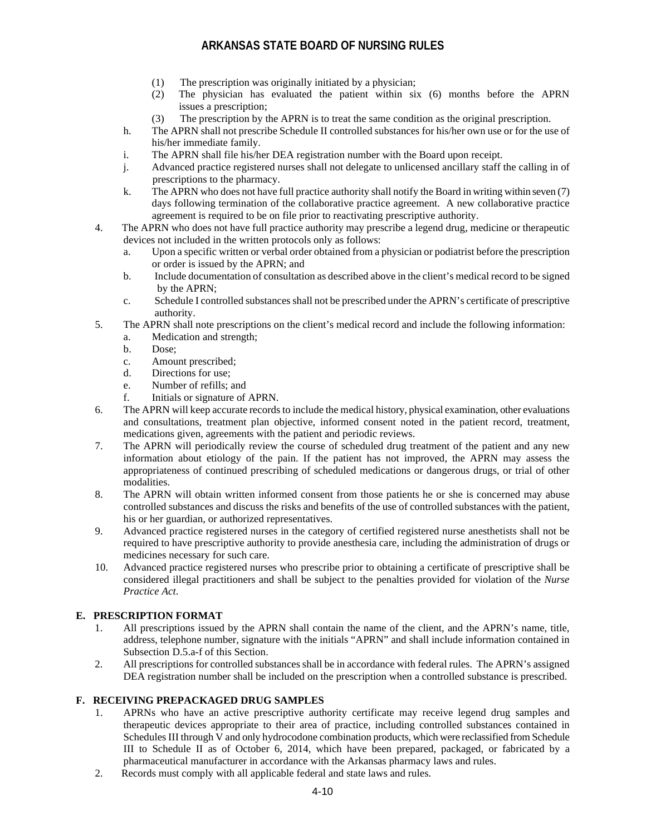- (1) The prescription was originally initiated by a physician;
- (2) The physician has evaluated the patient within six (6) months before the APRN issues a prescription;
- (3) The prescription by the APRN is to treat the same condition as the original prescription.
- h. The APRN shall not prescribe Schedule II controlled substances for his/her own use or for the use of his/her immediate family.
- i. The APRN shall file his/her DEA registration number with the Board upon receipt.
- j. Advanced practice registered nurses shall not delegate to unlicensed ancillary staff the calling in of prescriptions to the pharmacy.
- k. The APRN who does not have full practice authority shall notify the Board in writing within seven (7) days following termination of the collaborative practice agreement. A new collaborative practice agreement is required to be on file prior to reactivating prescriptive authority.
- 4. The APRN who does not have full practice authority may prescribe a legend drug, medicine or therapeutic devices not included in the written protocols only as follows:
	- a. Upon a specific written or verbal order obtained from a physician or podiatrist before the prescription or order is issued by the APRN; and
	- b. Include documentation of consultation as described above in the client's medical record to be signed by the APRN;
	- c. Schedule I controlled substances shall not be prescribed under the APRN's certificate of prescriptive authority.
- 5. The APRN shall note prescriptions on the client's medical record and include the following information:
	- a. Medication and strength;
	- b. Dose;
	- c. Amount prescribed;
	- d. Directions for use;
	- e. Number of refills; and
	- f. Initials or signature of APRN.
- 6. The APRN will keep accurate records to include the medical history, physical examination, other evaluations and consultations, treatment plan objective, informed consent noted in the patient record, treatment, medications given, agreements with the patient and periodic reviews.
- 7. The APRN will periodically review the course of scheduled drug treatment of the patient and any new information about etiology of the pain. If the patient has not improved, the APRN may assess the appropriateness of continued prescribing of scheduled medications or dangerous drugs, or trial of other modalities.
- 8. The APRN will obtain written informed consent from those patients he or she is concerned may abuse controlled substances and discuss the risks and benefits of the use of controlled substances with the patient, his or her guardian, or authorized representatives.
- 9. Advanced practice registered nurses in the category of certified registered nurse anesthetists shall not be required to have prescriptive authority to provide anesthesia care, including the administration of drugs or medicines necessary for such care.
- 10. Advanced practice registered nurses who prescribe prior to obtaining a certificate of prescriptive shall be considered illegal practitioners and shall be subject to the penalties provided for violation of the *Nurse Practice Act*.

### **E. PRESCRIPTION FORMAT**

- 1. All prescriptions issued by the APRN shall contain the name of the client, and the APRN's name, title, address, telephone number, signature with the initials "APRN" and shall include information contained in Subsection D.5.a-f of this Section.
- 2. All prescriptions for controlled substances shall be in accordance with federal rules. The APRN's assigned DEA registration number shall be included on the prescription when a controlled substance is prescribed.

### **F. RECEIVING PREPACKAGED DRUG SAMPLES**

- 1. APRNs who have an active prescriptive authority certificate may receive legend drug samples and therapeutic devices appropriate to their area of practice, including controlled substances contained in Schedules III through V and only hydrocodone combination products, which were reclassified from Schedule III to Schedule II as of October 6, 2014, which have been prepared, packaged, or fabricated by a pharmaceutical manufacturer in accordance with the Arkansas pharmacy laws and rules.
- 2. Records must comply with all applicable federal and state laws and rules.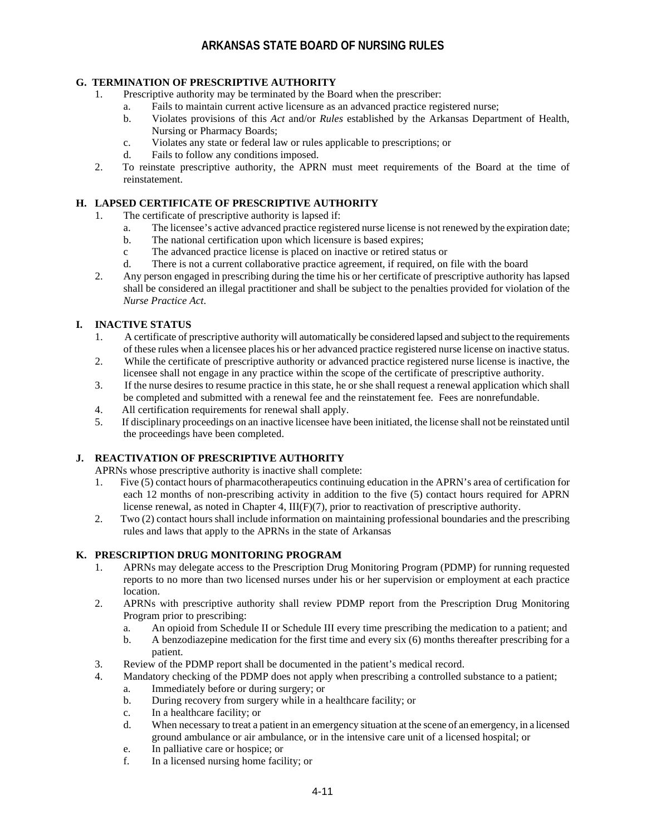### **G. TERMINATION OF PRESCRIPTIVE AUTHORITY**

- 1. Prescriptive authority may be terminated by the Board when the prescriber:
	- a. Fails to maintain current active licensure as an advanced practice registered nurse;
	- b. Violates provisions of this *Act* and/or *Rules* established by the Arkansas Department of Health, Nursing or Pharmacy Boards;
	- c. Violates any state or federal law or rules applicable to prescriptions; or
	- d. Fails to follow any conditions imposed.
- 2. To reinstate prescriptive authority, the APRN must meet requirements of the Board at the time of reinstatement.

## **H. LAPSED CERTIFICATE OF PRESCRIPTIVE AUTHORITY**

- 1. The certificate of prescriptive authority is lapsed if:
	- a. The licensee's active advanced practice registered nurse license is not renewed by the expiration date;
	- b. The national certification upon which licensure is based expires;
	- c The advanced practice license is placed on inactive or retired status or
	- d. There is not a current collaborative practice agreement, if required, on file with the board
- 2. Any person engaged in prescribing during the time his or her certificate of prescriptive authority has lapsed shall be considered an illegal practitioner and shall be subject to the penalties provided for violation of the *Nurse Practice Act*.

### **I. INACTIVE STATUS**

- 1. A certificate of prescriptive authority will automatically be considered lapsed and subject to the requirements of these rules when a licensee places his or her advanced practice registered nurse license on inactive status.
- 2. While the certificate of prescriptive authority or advanced practice registered nurse license is inactive, the licensee shall not engage in any practice within the scope of the certificate of prescriptive authority.
- 3. If the nurse desires to resume practice in this state, he or she shall request a renewal application which shall be completed and submitted with a renewal fee and the reinstatement fee. Fees are nonrefundable.
- 4. All certification requirements for renewal shall apply.
- 5. If disciplinary proceedings on an inactive licensee have been initiated, the license shall not be reinstated until the proceedings have been completed.

### **J. REACTIVATION OF PRESCRIPTIVE AUTHORITY**

APRNs whose prescriptive authority is inactive shall complete:

- 1. Five (5) contact hours of pharmacotherapeutics continuing education in the APRN's area of certification for each 12 months of non-prescribing activity in addition to the five (5) contact hours required for APRN license renewal, as noted in Chapter 4,  $III(F)(7)$ , prior to reactivation of prescriptive authority.
- 2. Two (2) contact hours shall include information on maintaining professional boundaries and the prescribing rules and laws that apply to the APRNs in the state of Arkansas

### **K. PRESCRIPTION DRUG MONITORING PROGRAM**

- 1. APRNs may delegate access to the Prescription Drug Monitoring Program (PDMP) for running requested reports to no more than two licensed nurses under his or her supervision or employment at each practice location.
- 2. APRNs with prescriptive authority shall review PDMP report from the Prescription Drug Monitoring Program prior to prescribing:
	- a. An opioid from Schedule II or Schedule III every time prescribing the medication to a patient; and
	- b. A benzodiazepine medication for the first time and every six (6) months thereafter prescribing for a patient.
- 3. Review of the PDMP report shall be documented in the patient's medical record.
- 4. Mandatory checking of the PDMP does not apply when prescribing a controlled substance to a patient;
	- a. Immediately before or during surgery; or
		- b. During recovery from surgery while in a healthcare facility; or
		- c. In a healthcare facility; or
	- d. When necessary to treat a patient in an emergency situation at the scene of an emergency, in a licensed ground ambulance or air ambulance, or in the intensive care unit of a licensed hospital; or
	- e. In palliative care or hospice; or
	- f. In a licensed nursing home facility; or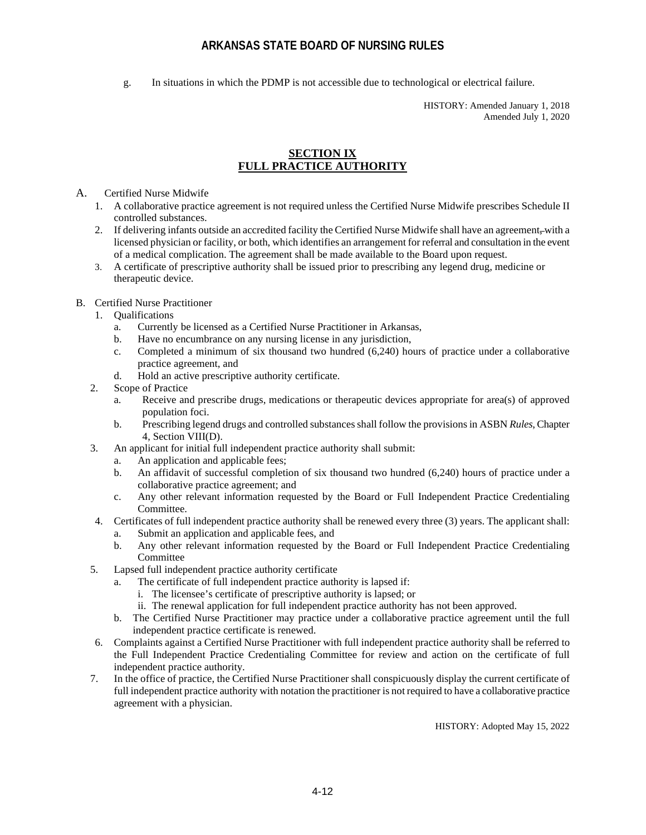g. In situations in which the PDMP is not accessible due to technological or electrical failure.

HISTORY: Amended January 1, 2018 Amended July 1, 2020

### **SECTION IX FULL PRACTICE AUTHORITY**

A. Certified Nurse Midwife

- 1. A collaborative practice agreement is not required unless the Certified Nurse Midwife prescribes Schedule II controlled substances.
- 2. If delivering infants outside an accredited facility the Certified Nurse Midwife shall have an agreement, with a licensed physician or facility, or both, which identifies an arrangement for referral and consultation in the event of a medical complication. The agreement shall be made available to the Board upon request.
- 3. A certificate of prescriptive authority shall be issued prior to prescribing any legend drug, medicine or therapeutic device.

#### B. Certified Nurse Practitioner

- 1. Qualifications
	- a. Currently be licensed as a Certified Nurse Practitioner in Arkansas,
	- b. Have no encumbrance on any nursing license in any jurisdiction,
	- c. Completed a minimum of six thousand two hundred (6,240) hours of practice under a collaborative practice agreement, and
	- d. Hold an active prescriptive authority certificate.
- 2. Scope of Practice
	- a. Receive and prescribe drugs, medications or therapeutic devices appropriate for area(s) of approved population foci.
	- b. Prescribing legend drugs and controlled substances shall follow the provisions in ASBN *Rules*, Chapter 4, Section VIII(D).
- 3. An applicant for initial full independent practice authority shall submit:
	- a. An application and applicable fees;
	- b. An affidavit of successful completion of six thousand two hundred (6,240) hours of practice under a collaborative practice agreement; and
	- c. Any other relevant information requested by the Board or Full Independent Practice Credentialing Committee.
- 4. Certificates of full independent practice authority shall be renewed every three (3) years. The applicant shall: a. Submit an application and applicable fees, and
	- b. Any other relevant information requested by the Board or Full Independent Practice Credentialing Committee
- 5. Lapsed full independent practice authority certificate
	- a. The certificate of full independent practice authority is lapsed if:
		- i. The licensee's certificate of prescriptive authority is lapsed; or
		- ii. The renewal application for full independent practice authority has not been approved.
	- b. The Certified Nurse Practitioner may practice under a collaborative practice agreement until the full independent practice certificate is renewed.
- 6. Complaints against a Certified Nurse Practitioner with full independent practice authority shall be referred to the Full Independent Practice Credentialing Committee for review and action on the certificate of full independent practice authority.
- 7. In the office of practice, the Certified Nurse Practitioner shall conspicuously display the current certificate of full independent practice authority with notation the practitioner is not required to have a collaborative practice agreement with a physician.

HISTORY: Adopted May 15, 2022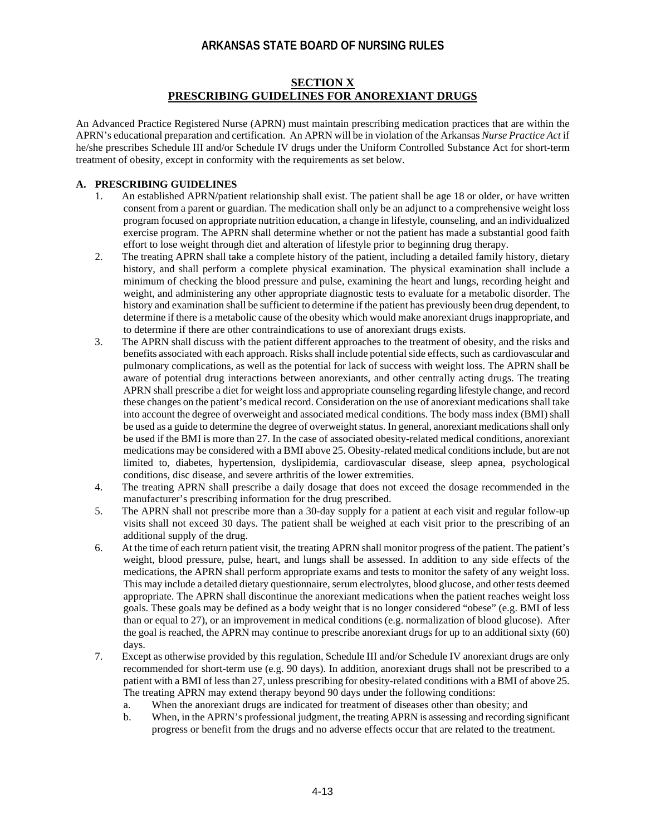### **SECTION X PRESCRIBING GUIDELINES FOR ANOREXIANT DRUGS**

An Advanced Practice Registered Nurse (APRN) must maintain prescribing medication practices that are within the APRN's educational preparation and certification. An APRN will be in violation of the Arkansas *Nurse Practice Act* if he/she prescribes Schedule III and/or Schedule IV drugs under the Uniform Controlled Substance Act for short-term treatment of obesity, except in conformity with the requirements as set below.

### **A. PRESCRIBING GUIDELINES**

- 1. An established APRN/patient relationship shall exist. The patient shall be age 18 or older, or have written consent from a parent or guardian. The medication shall only be an adjunct to a comprehensive weight loss program focused on appropriate nutrition education, a change in lifestyle, counseling, and an individualized exercise program. The APRN shall determine whether or not the patient has made a substantial good faith effort to lose weight through diet and alteration of lifestyle prior to beginning drug therapy.
- 2. The treating APRN shall take a complete history of the patient, including a detailed family history, dietary history, and shall perform a complete physical examination. The physical examination shall include a minimum of checking the blood pressure and pulse, examining the heart and lungs, recording height and weight, and administering any other appropriate diagnostic tests to evaluate for a metabolic disorder. The history and examination shall be sufficient to determine if the patient has previously been drug dependent, to determine if there is a metabolic cause of the obesity which would make anorexiant drugs inappropriate, and to determine if there are other contraindications to use of anorexiant drugs exists.
- 3. The APRN shall discuss with the patient different approaches to the treatment of obesity, and the risks and benefits associated with each approach. Risks shall include potential side effects, such as cardiovascular and pulmonary complications, as well as the potential for lack of success with weight loss. The APRN shall be aware of potential drug interactions between anorexiants, and other centrally acting drugs. The treating APRN shall prescribe a diet for weight loss and appropriate counseling regarding lifestyle change, and record these changes on the patient's medical record. Consideration on the use of anorexiant medications shall take into account the degree of overweight and associated medical conditions. The body mass index (BMI) shall be used as a guide to determine the degree of overweight status. In general, anorexiant medications shall only be used if the BMI is more than 27. In the case of associated obesity-related medical conditions, anorexiant medications may be considered with a BMI above 25. Obesity-related medical conditions include, but are not limited to, diabetes, hypertension, dyslipidemia, cardiovascular disease, sleep apnea, psychological conditions, disc disease, and severe arthritis of the lower extremities.
- 4. The treating APRN shall prescribe a daily dosage that does not exceed the dosage recommended in the manufacturer's prescribing information for the drug prescribed.
- 5. The APRN shall not prescribe more than a 30-day supply for a patient at each visit and regular follow-up visits shall not exceed 30 days. The patient shall be weighed at each visit prior to the prescribing of an additional supply of the drug.
- 6. At the time of each return patient visit, the treating APRN shall monitor progress of the patient. The patient's weight, blood pressure, pulse, heart, and lungs shall be assessed. In addition to any side effects of the medications, the APRN shall perform appropriate exams and tests to monitor the safety of any weight loss. This may include a detailed dietary questionnaire, serum electrolytes, blood glucose, and other tests deemed appropriate. The APRN shall discontinue the anorexiant medications when the patient reaches weight loss goals. These goals may be defined as a body weight that is no longer considered "obese" (e.g. BMI of less than or equal to 27), or an improvement in medical conditions (e.g. normalization of blood glucose). After the goal is reached, the APRN may continue to prescribe anorexiant drugs for up to an additional sixty (60) days.
- 7. Except as otherwise provided by this regulation, Schedule III and/or Schedule IV anorexiant drugs are only recommended for short-term use (e.g. 90 days). In addition, anorexiant drugs shall not be prescribed to a patient with a BMI of less than 27, unless prescribing for obesity-related conditions with a BMI of above 25. The treating APRN may extend therapy beyond 90 days under the following conditions:
	- a. When the anorexiant drugs are indicated for treatment of diseases other than obesity; and
	- b. When, in the APRN's professional judgment, the treating APRN is assessing and recording significant progress or benefit from the drugs and no adverse effects occur that are related to the treatment.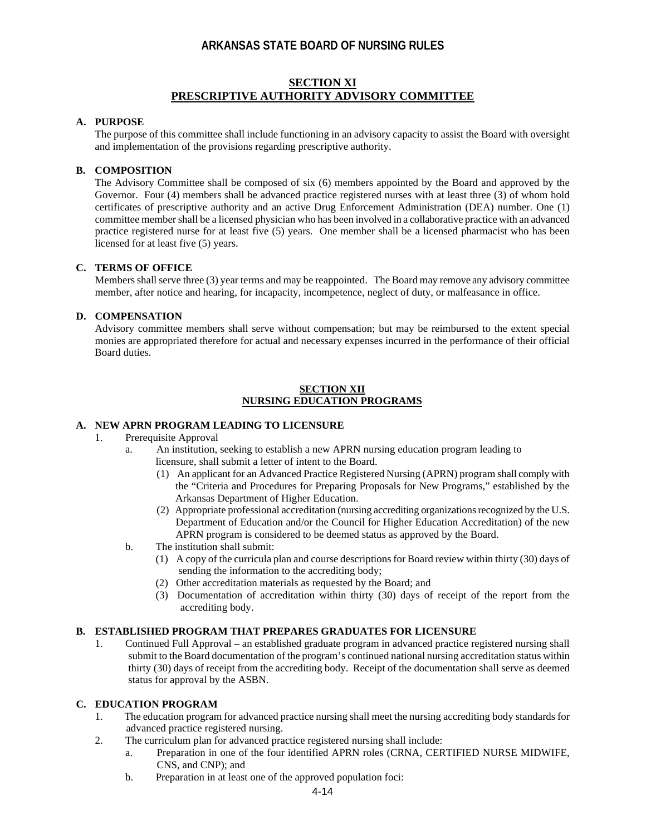#### **SECTION XI PRESCRIPTIVE AUTHORITY ADVISORY COMMITTEE**

#### **A. PURPOSE**

The purpose of this committee shall include functioning in an advisory capacity to assist the Board with oversight and implementation of the provisions regarding prescriptive authority.

#### **B. COMPOSITION**

The Advisory Committee shall be composed of six (6) members appointed by the Board and approved by the Governor. Four (4) members shall be advanced practice registered nurses with at least three (3) of whom hold certificates of prescriptive authority and an active Drug Enforcement Administration (DEA) number. One (1) committee member shall be a licensed physician who has been involved in a collaborative practice with an advanced practice registered nurse for at least five (5) years. One member shall be a licensed pharmacist who has been licensed for at least five (5) years.

#### **C. TERMS OF OFFICE**

Members shall serve three (3) year terms and may be reappointed. The Board may remove any advisory committee member, after notice and hearing, for incapacity, incompetence, neglect of duty, or malfeasance in office.

#### **D. COMPENSATION**

Advisory committee members shall serve without compensation; but may be reimbursed to the extent special monies are appropriated therefore for actual and necessary expenses incurred in the performance of their official Board duties.

#### **SECTION XII NURSING EDUCATION PROGRAMS**

### **A. NEW APRN PROGRAM LEADING TO LICENSURE**

- 1. Prerequisite Approval
	- a. An institution, seeking to establish a new APRN nursing education program leading to licensure, shall submit a letter of intent to the Board.
		- (1) An applicant for an Advanced Practice Registered Nursing (APRN) program shall comply with the "Criteria and Procedures for Preparing Proposals for New Programs," established by the Arkansas Department of Higher Education.
		- (2) Appropriate professional accreditation (nursing accrediting organizationsrecognized by the U.S. Department of Education and/or the Council for Higher Education Accreditation) of the new APRN program is considered to be deemed status as approved by the Board.
	- b. The institution shall submit:
		- (1) A copy of the curricula plan and course descriptions for Board review within thirty (30) days of sending the information to the accrediting body;
		- (2) Other accreditation materials as requested by the Board; and
		- (3) Documentation of accreditation within thirty (30) days of receipt of the report from the accrediting body.

#### **B. ESTABLISHED PROGRAM THAT PREPARES GRADUATES FOR LICENSURE**

1. Continued Full Approval – an established graduate program in advanced practice registered nursing shall submit to the Board documentation of the program's continued national nursing accreditation status within thirty (30) days of receipt from the accrediting body. Receipt of the documentation shall serve as deemed status for approval by the ASBN.

#### **C. EDUCATION PROGRAM**

- 1. The education program for advanced practice nursing shall meet the nursing accrediting body standards for advanced practice registered nursing.
- 2. The curriculum plan for advanced practice registered nursing shall include:
	- a. Preparation in one of the four identified APRN roles (CRNA, CERTIFIED NURSE MIDWIFE, CNS, and CNP); and
	- b. Preparation in at least one of the approved population foci: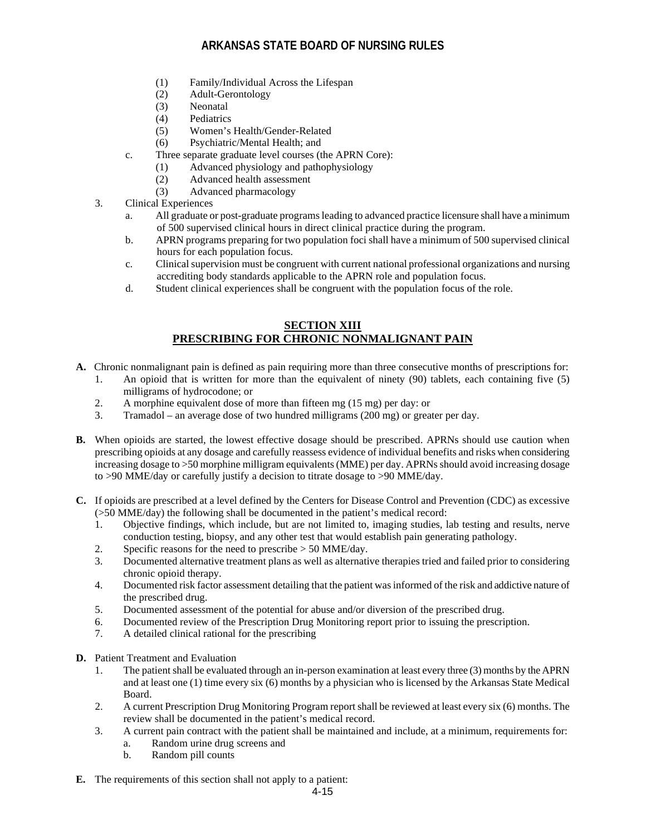- (1) Family/Individual Across the Lifespan
- (2) Adult-Gerontology
- (3) Neonatal
- (4) Pediatrics
- (5) Women's Health/Gender-Related
- (6) Psychiatric/Mental Health; and
- c. Three separate graduate level courses (the APRN Core):
	- (1) Advanced physiology and pathophysiology
	- (2) Advanced health assessment
	- (3) Advanced pharmacology
- 3. Clinical Experiences
	- a. All graduate or post-graduate programs leading to advanced practice licensure shall have a minimum of 500 supervised clinical hours in direct clinical practice during the program.
	- b. APRN programs preparing for two population foci shall have a minimum of 500 supervised clinical hours for each population focus.
	- c. Clinical supervision must be congruent with current national professional organizations and nursing accrediting body standards applicable to the APRN role and population focus.
	- d. Student clinical experiences shall be congruent with the population focus of the role.

## **SECTION XIII PRESCRIBING FOR CHRONIC NONMALIGNANT PAIN**

- **A.** Chronic nonmalignant pain is defined as pain requiring more than three consecutive months of prescriptions for:
	- 1. An opioid that is written for more than the equivalent of ninety (90) tablets, each containing five (5) milligrams of hydrocodone; or
	- 2. A morphine equivalent dose of more than fifteen mg (15 mg) per day: or
	- 3. Tramadol an average dose of two hundred milligrams (200 mg) or greater per day.
- **B.** When opioids are started, the lowest effective dosage should be prescribed. APRNs should use caution when prescribing opioids at any dosage and carefully reassess evidence of individual benefits and risks when considering increasing dosage to >50 morphine milligram equivalents (MME) per day. APRNs should avoid increasing dosage to >90 MME/day or carefully justify a decision to titrate dosage to >90 MME/day.
- **C.** If opioids are prescribed at a level defined by the Centers for Disease Control and Prevention (CDC) as excessive (>50 MME/day) the following shall be documented in the patient's medical record:
	- 1. Objective findings, which include, but are not limited to, imaging studies, lab testing and results, nerve conduction testing, biopsy, and any other test that would establish pain generating pathology.
	- 2. Specific reasons for the need to prescribe > 50 MME/day.
	- 3. Documented alternative treatment plans as well as alternative therapies tried and failed prior to considering chronic opioid therapy.
	- 4. Documented risk factor assessment detailing that the patient was informed of the risk and addictive nature of the prescribed drug.
	- 5. Documented assessment of the potential for abuse and/or diversion of the prescribed drug.
	- 6. Documented review of the Prescription Drug Monitoring report prior to issuing the prescription.
	- 7. A detailed clinical rational for the prescribing
- **D.** Patient Treatment and Evaluation
	- 1. The patient shall be evaluated through an in-person examination at least every three (3) months by the APRN and at least one (1) time every six (6) months by a physician who is licensed by the Arkansas State Medical Board.
	- 2. A current Prescription Drug Monitoring Program report shall be reviewed at least every six (6) months. The review shall be documented in the patient's medical record.
	- 3. A current pain contract with the patient shall be maintained and include, at a minimum, requirements for: a. Random urine drug screens and
		- b. Random pill counts
- **E.** The requirements of this section shall not apply to a patient: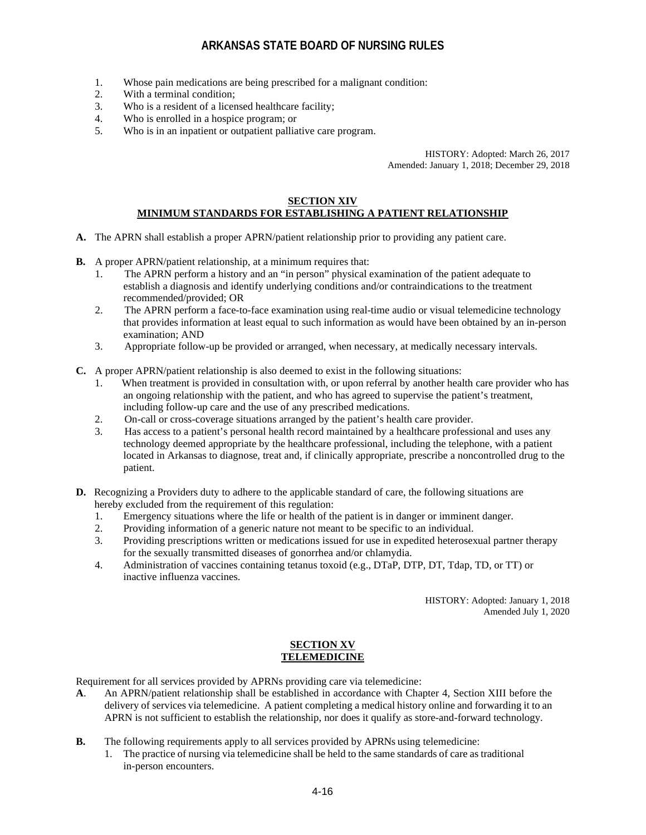- 1. Whose pain medications are being prescribed for a malignant condition:
- 2. With a terminal condition;
- 3. Who is a resident of a licensed healthcare facility;
- 4. Who is enrolled in a hospice program; or
- 5. Who is in an inpatient or outpatient palliative care program.

HISTORY: Adopted: March 26, 2017 Amended: January 1, 2018; December 29, 2018

#### **SECTION XIV MINIMUM STANDARDS FOR ESTABLISHING A PATIENT RELATIONSHIP**

- **A.** The APRN shall establish a proper APRN/patient relationship prior to providing any patient care.
- **B.** A proper APRN/patient relationship, at a minimum requires that:
	- 1. The APRN perform a history and an "in person" physical examination of the patient adequate to establish a diagnosis and identify underlying conditions and/or contraindications to the treatment recommended/provided; OR
	- 2. The APRN perform a face-to-face examination using real-time audio or visual telemedicine technology that provides information at least equal to such information as would have been obtained by an in-person examination; AND
	- 3. Appropriate follow-up be provided or arranged, when necessary, at medically necessary intervals.
- **C.** A proper APRN/patient relationship is also deemed to exist in the following situations:
	- 1. When treatment is provided in consultation with, or upon referral by another health care provider who has an ongoing relationship with the patient, and who has agreed to supervise the patient's treatment, including follow-up care and the use of any prescribed medications.
	- 2. On-call or cross-coverage situations arranged by the patient's health care provider.
	- 3. Has access to a patient's personal health record maintained by a healthcare professional and uses any technology deemed appropriate by the healthcare professional, including the telephone, with a patient located in Arkansas to diagnose, treat and, if clinically appropriate, prescribe a noncontrolled drug to the patient.
- **D.** Recognizing a Providers duty to adhere to the applicable standard of care, the following situations are hereby excluded from the requirement of this regulation:
	- 1. Emergency situations where the life or health of the patient is in danger or imminent danger.<br>2. Providing information of a generic nature not meant to be specific to an individual.
	- 2. Providing information of a generic nature not meant to be specific to an individual.
	- 3. Providing prescriptions written or medications issued for use in expedited heterosexual partner therapy for the sexually transmitted diseases of gonorrhea and/or chlamydia.
	- 4. Administration of vaccines containing tetanus toxoid (e.g., DTaP, DTP, DT, Tdap, TD, or TT) or inactive influenza vaccines.

HISTORY: Adopted: January 1, 2018 Amended July 1, 2020

#### **SECTION XV TELEMEDICINE**

Requirement for all services provided by APRNs providing care via telemedicine:

- **A**. An APRN/patient relationship shall be established in accordance with Chapter 4, Section XIII before the delivery of services via telemedicine. A patient completing a medical history online and forwarding it to an APRN is not sufficient to establish the relationship, nor does it qualify as store-and-forward technology.
- **B.** The following requirements apply to all services provided by APRNs using telemedicine:
	- 1. The practice of nursing via telemedicine shall be held to the same standards of care as traditional in-person encounters.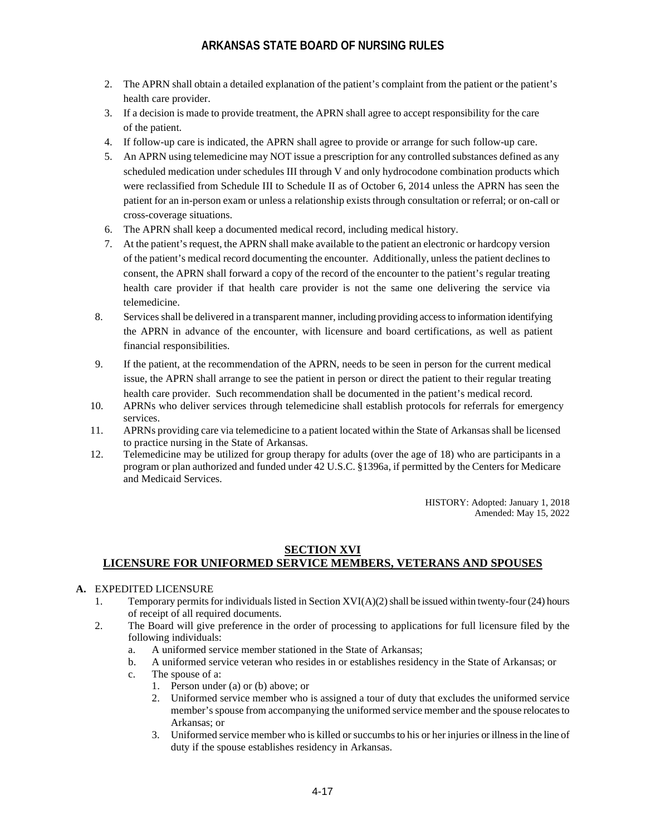- 2. The APRN shall obtain a detailed explanation of the patient's complaint from the patient or the patient's health care provider.
- 3. If a decision is made to provide treatment, the APRN shall agree to accept responsibility for the care of the patient.
- 4. If follow-up care is indicated, the APRN shall agree to provide or arrange for such follow-up care.
- 5. An APRN using telemedicine may NOT issue a prescription for any controlled substances defined as any scheduled medication under schedules III through V and only hydrocodone combination products which were reclassified from Schedule III to Schedule II as of October 6, 2014 unless the APRN has seen the patient for an in-person exam or unless a relationship exists through consultation or referral; or on-call or cross-coverage situations.
- 6. The APRN shall keep a documented medical record, including medical history.
- 7. At the patient's request, the APRN shall make available to the patient an electronic or hardcopy version of the patient's medical record documenting the encounter. Additionally, unless the patient declines to consent, the APRN shall forward a copy of the record of the encounter to the patient's regular treating health care provider if that health care provider is not the same one delivering the service via telemedicine.
- 8. Services shall be delivered in a transparent manner, including providing access to information identifying the APRN in advance of the encounter, with licensure and board certifications, as well as patient financial responsibilities.
- 9. If the patient, at the recommendation of the APRN, needs to be seen in person for the current medical issue, the APRN shall arrange to see the patient in person or direct the patient to their regular treating health care provider. Such recommendation shall be documented in the patient's medical record.
- 10. APRNs who deliver services through telemedicine shall establish protocols for referrals for emergency services.
- 11. APRNs providing care via telemedicine to a patient located within the State of Arkansas shall be licensed to practice nursing in the State of Arkansas.
- 12. Telemedicine may be utilized for group therapy for adults (over the age of 18) who are participants in a program or plan authorized and funded under 42 U.S.C. §1396a, if permitted by the Centers for Medicare and Medicaid Services.

HISTORY: Adopted: January 1, 2018 Amended: May 15, 2022

### **SECTION XVI LICENSURE FOR UNIFORMED SERVICE MEMBERS, VETERANS AND SPOUSES**

#### **A.** EXPEDITED LICENSURE

- 1. Temporary permits for individuals listed in Section XVI(A)(2) shall be issued within twenty-four (24) hours of receipt of all required documents.
- 2. The Board will give preference in the order of processing to applications for full licensure filed by the following individuals:
	- a. A uniformed service member stationed in the State of Arkansas;
	- b. A uniformed service veteran who resides in or establishes residency in the State of Arkansas; or
	- c. The spouse of a:
		- 1. Person under (a) or (b) above; or
		- 2. Uniformed service member who is assigned a tour of duty that excludes the uniformed service member's spouse from accompanying the uniformed service member and the spouse relocates to Arkansas; or
		- 3. Uniformed service member who is killed or succumbs to his or her injuries or illness in the line of duty if the spouse establishes residency in Arkansas.